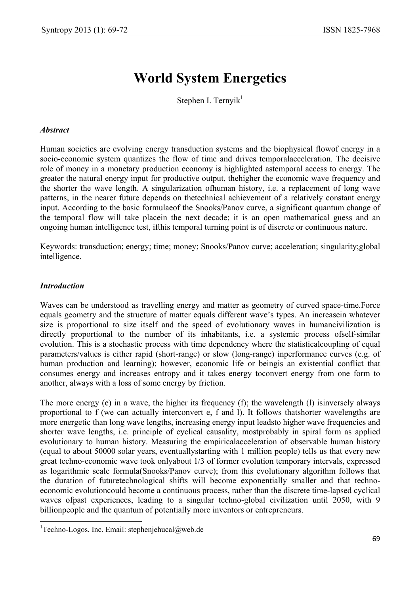## **World System Energetics**

Stephen I. Ternyik $1$ 

## *Abstract*

Human societies are evolving energy transduction systems and the biophysical flowof energy in a socio-economic system quantizes the flow of time and drives temporalacceleration. The decisive role of money in a monetary production economy is highlighted astemporal access to energy. The greater the natural energy input for productive output, thehigher the economic wave frequency and the shorter the wave length. A singularization ofhuman history, i.e. a replacement of long wave patterns, in the nearer future depends on thetechnical achievement of a relatively constant energy input. According to the basic formulaeof the Snooks/Panov curve, a significant quantum change of the temporal flow will take placein the next decade; it is an open mathematical guess and an ongoing human intelligence test, ifthis temporal turning point is of discrete or continuous nature.

Keywords: transduction; energy; time; money; Snooks/Panov curve; acceleration; singularity;global intelligence.

## *Introduction*

 $\overline{a}$ 

Waves can be understood as travelling energy and matter as geometry of curved space-time.Force equals geometry and the structure of matter equals different wave's types. An increasein whatever size is proportional to size itself and the speed of evolutionary waves in humancivilization is directly proportional to the number of its inhabitants, i.e. a systemic process ofself-similar evolution. This is a stochastic process with time dependency where the statisticalcoupling of equal parameters/values is either rapid (short-range) or slow (long-range) inperformance curves (e.g. of human production and learning); however, economic life or beingis an existential conflict that consumes energy and increases entropy and it takes energy toconvert energy from one form to another, always with a loss of some energy by friction.

The more energy (e) in a wave, the higher its frequency (f); the wavelength (l) isinversely always proportional to f (we can actually interconvert e, f and l). It follows thatshorter wavelengths are more energetic than long wave lengths, increasing energy input leadsto higher wave frequencies and shorter wave lengths, i.e. principle of cyclical causality, mostprobably in spiral form as applied evolutionary to human history. Measuring the empiricalacceleration of observable human history (equal to about 50000 solar years, eventuallystarting with 1 million people) tells us that every new great techno-economic wave took onlyabout 1/3 of former evolution temporary intervals, expressed as logarithmic scale formula(Snooks/Panov curve); from this evolutionary algorithm follows that the duration of futuretechnological shifts will become exponentially smaller and that technoeconomic evolutioncould become a continuous process, rather than the discrete time-lapsed cyclical waves ofpast experiences, leading to a singular techno-global civilization until 2050, with 9 billionpeople and the quantum of potentially more inventors or entrepreneurs.

<sup>&</sup>lt;sup>1</sup>Techno-Logos, Inc. Email: stephenjehucal@web.de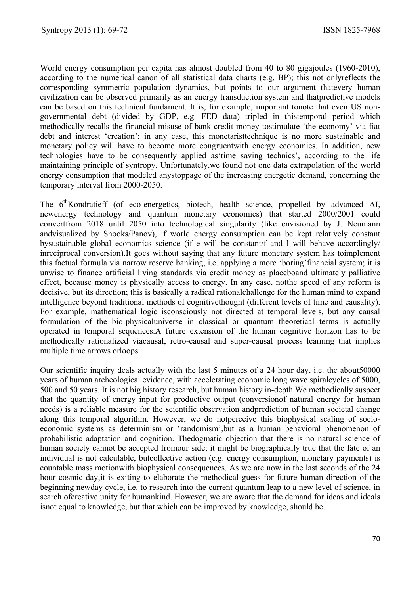World energy consumption per capita has almost doubled from 40 to 80 gigajoules (1960-2010), according to the numerical canon of all statistical data charts (e.g. BP); this not onlyreflects the corresponding symmetric population dynamics, but points to our argument thatevery human civilization can be observed primarily as an energy transduction system and thatpredictive models can be based on this technical fundament. It is, for example, important tonote that even US nongovernmental debt (divided by GDP, e.g. FED data) tripled in thistemporal period which methodically recalls the financial misuse of bank credit money tostimulate 'the economy' via fiat debt and interest 'creation'; in any case, this monetaristtechnique is no more sustainable and monetary policy will have to become more congruentwith energy economics. In addition, new technologies have to be consequently applied as'time saving technics', according to the life maintaining principle of syntropy. Unfortunately,we found not one data extrapolation of the world energy consumption that modeled anystoppage of the increasing energetic demand, concerning the temporary interval from 2000-2050.

The 6<sup>th</sup>Kondratieff (of eco-energetics, biotech, health science, propelled by advanced AI, newenergy technology and quantum monetary economics) that started 2000/2001 could convertfrom 2018 until 2050 into technological singularity (like envisioned by J. Neumann andvisualized by Snooks/Panov), if world energy consumption can be kept relatively constant bysustainable global economics science (if e will be constant/f and l will behave accordingly/ inreciprocal conversion).It goes without saying that any future monetary system has toimplement this factual formula via narrow reserve banking, i.e. applying a more 'boring'financial system; it is unwise to finance artificial living standards via credit money as placeboand ultimately palliative effect, because money is physically access to energy. In any case, notthe speed of any reform is decisive, but its direction; this is basically a radical rationalchallenge for the human mind to expand intelligence beyond traditional methods of cognitivethought (different levels of time and causality). For example, mathematical logic isconsciously not directed at temporal levels, but any causal formulation of the bio-physicaluniverse in classical or quantum theoretical terms is actually operated in temporal sequences.A future extension of the human cognitive horizon has to be methodically rationalized viacausal, retro-causal and super-causal process learning that implies multiple time arrows orloops.

Our scientific inquiry deals actually with the last 5 minutes of a 24 hour day, i.e. the about50000 years of human archeological evidence, with accelerating economic long wave spiralcycles of 5000, 500 and 50 years. It is not big history research, but human history in-depth.We methodically suspect that the quantity of energy input for productive output (conversionof natural energy for human needs) is a reliable measure for the scientific observation andprediction of human societal change along this temporal algorithm. However, we do notperceive this biophysical scaling of socioeconomic systems as determinism or 'randomism',but as a human behavioral phenomenon of probabilistic adaptation and cognition. Thedogmatic objection that there is no natural science of human society cannot be accepted fromour side; it might be biographically true that the fate of an individual is not calculable, butcollective action (e.g. energy consumption, monetary payments) is countable mass motionwith biophysical consequences. As we are now in the last seconds of the 24 hour cosmic day,it is exiting to elaborate the methodical guess for future human direction of the beginning newday cycle, i.e. to research into the current quantum leap to a new level of science, in search ofcreative unity for humankind. However, we are aware that the demand for ideas and ideals isnot equal to knowledge, but that which can be improved by knowledge, should be.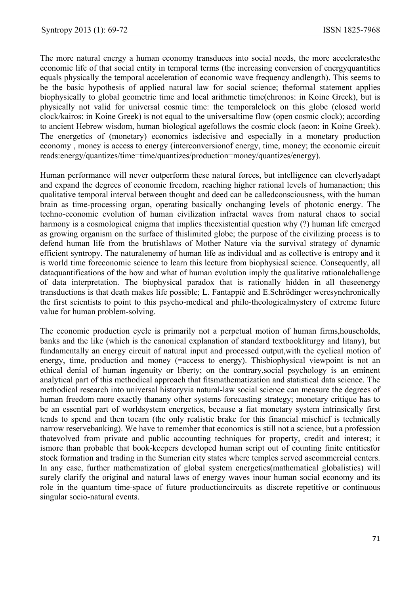The more natural energy a human economy transduces into social needs, the more acceleratesthe economic life of that social entity in temporal terms (the increasing conversion of energyquantities equals physically the temporal acceleration of economic wave frequency andlength). This seems to be the basic hypothesis of applied natural law for social science; theformal statement applies biophysically to global geometric time and local arithmetic time(chronos: in Koine Greek), but is physically not valid for universal cosmic time: the temporalclock on this globe (closed world clock/kairos: in Koine Greek) is not equal to the universaltime flow (open cosmic clock); according to ancient Hebrew wisdom, human biological agefollows the cosmic clock (aeon: in Koine Greek). The energetics of (monetary) economics isdecisive and especially in a monetary production economy , money is access to energy (interconversionof energy, time, money; the economic circuit reads:energy/quantizes/time=time/quantizes/production=money/quantizes/energy).

Human performance will never outperform these natural forces, but intelligence can cleverlyadapt and expand the degrees of economic freedom, reaching higher rational levels of humanaction; this qualitative temporal interval between thought and deed can be calledconsciousness, with the human brain as time-processing organ, operating basically onchanging levels of photonic energy. The techno-economic evolution of human civilization infractal waves from natural chaos to social harmony is a cosmological enigma that implies theexistential question why (?) human life emerged as growing organism on the surface of thislimited globe; the purpose of the civilizing process is to defend human life from the brutishlaws of Mother Nature via the survival strategy of dynamic efficient syntropy. The naturalenemy of human life as individual and as collective is entropy and it is world time foreconomic science to learn this lecture from biophysical science. Consequently, all dataquantifications of the how and what of human evolution imply the qualitative rationalchallenge of data interpretation. The biophysical paradox that is rationally hidden in all theseenergy transductions is that death makes life possible; L. Fantappiè and E.Schrödinger weresynchronically the first scientists to point to this psycho-medical and philo-theologicalmystery of extreme future value for human problem-solving.

The economic production cycle is primarily not a perpetual motion of human firms,households, banks and the like (which is the canonical explanation of standard textbookliturgy and litany), but fundamentally an energy circuit of natural input and processed output,with the cyclical motion of energy, time, production and money (=access to energy). Thisbiophysical viewpoint is not an ethical denial of human ingenuity or liberty; on the contrary,social psychology is an eminent analytical part of this methodical approach that fitsmathematization and statistical data science. The methodical research into universal historyvia natural-law social science can measure the degrees of human freedom more exactly thanany other systems forecasting strategy; monetary critique has to be an essential part of worldsystem energetics, because a fiat monetary system intrinsically first tends to spend and then toearn (the only realistic brake for this financial mischief is technically narrow reservebanking). We have to remember that economics is still not a science, but a profession thatevolved from private and public accounting techniques for property, credit and interest; it ismore than probable that book-keepers developed human script out of counting finite entitiesfor stock formation and trading in the Sumerian city states where temples served ascommercial centers. In any case, further mathematization of global system energetics(mathematical globalistics) will surely clarify the original and natural laws of energy waves inour human social economy and its role in the quantum time-space of future productioncircuits as discrete repetitive or continuous singular socio-natural events.